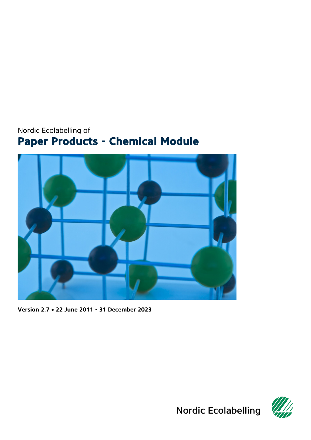# <span id="page-0-0"></span>Nordic Ecolabelling of **Paper Products - Chemical Module**

<span id="page-0-1"></span>

**Version 2.7** • **22 June 2011 - 31 December 2023**



Nordic Ecolabelling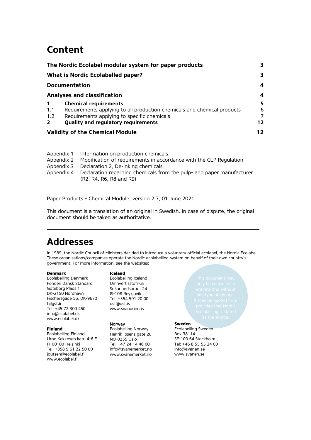# **Content**

| The Nordic Ecolabel modular system for paper products |                                                                         | 3       |
|-------------------------------------------------------|-------------------------------------------------------------------------|---------|
|                                                       | What is Nordic Ecolabelled paper?                                       | 3       |
|                                                       | <b>Documentation</b>                                                    | 4       |
|                                                       | <b>Analyses and classification</b>                                      | 4       |
| $\mathbf 1$                                           | <b>Chemical requirements</b>                                            | 5       |
| 1.1                                                   | Requirements applying to all production chemicals and chemical products | 6       |
| 1.2                                                   | Requirements applying to specific chemicals                             | 7       |
| $\overline{2}$                                        | Quality and regulatory requirements                                     | $12 \,$ |
| <b>Validity of the Chemical Module</b>                |                                                                         | 12      |

- Appendix 1 [Information on production chemicals](#page-13-0)
- Appendix 2 [Modification of requirements in accordance with the CLP Regulation](#page-14-0)
- Appendix 3 [Declaration 2, De-inking chemicals](#page-16-0)<br>Appendix 4 Declaration regarding chemicals fro
- [Declaration regarding chemicals from the pulp-](#page-28-0) and paper manufacturer [\(R2, R4, R6, R8 and R9\)](#page-28-0)

Paper Products - [Chemical Module,](#page-0-0) version [2.7,](#page-0-1) 01 June 2021

This document is a translation of an original in Swedish. In case of dispute, the original document should be taken as authoritative.

# **Addresses**

In 1989, the Nordic Council of Ministers decided to introduce a voluntary official ecolabel, the Nordic Ecolabel. These organisations/companies operate the Nordic ecolabelling system on behalf of their own country's government. For more information, see the websites:

#### **Denmark**

Ecolabelling Denmark Fonden Dansk Standard Göteborg Plads 1 DK-2150 Nordhavn Fischersgade 56, DK-9670 Løgstør Tel: +45 72 300 450 info@ecolabel.dk www.ecolabel.dk

#### **Finland**

Ecolabelling Finland Urho Kekkosen katu 4-6 E FI-00100 Helsinki Tel: +358 9 61 22 50 00 joutsen@ecolabel.fi www.ecolabel.fi

**Iceland** 

Ecolabelling Iceland Umhverfisstofnun Suδurlandsbraut 24 IS-108 Reykjavik Tel: +354 591 20 00 ust@ust.is [www.svanurinn.is](http://www.svanurinn.is/)

#### Norway

Ecolabelling Norway Henrik Ibsens gate 20 NO-0255 Oslo Tel: +47 24 14 46 00 info@svanemerket.no www.svanemerket.no

<span id="page-1-0"></span>

#### **Sweden**

Ecolabelling Sweden Box 38114 SE-100 64 Stockholm Tel: +46 8 55 55 24 00 info@svanen.se www.svanen.se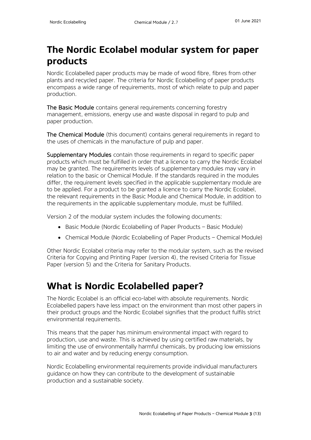# <span id="page-2-0"></span>**The Nordic Ecolabel modular system for paper products**

Nordic Ecolabelled paper products may be made of wood fibre, fibres from other plants and recycled paper. The criteria for Nordic Ecolabelling of paper products encompass a wide range of requirements, most of which relate to pulp and paper production.

The Basic Module contains general requirements concerning forestry management, emissions, energy use and waste disposal in regard to pulp and paper production.

The Chemical Module (this document) contains general requirements in regard to the uses of chemicals in the manufacture of pulp and paper.

Supplementary Modules contain those requirements in regard to specific paper products which must be fulfilled in order that a licence to carry the Nordic Ecolabel may be granted. The requirements levels of supplementary modules may vary in relation to the basic or Chemical Module. If the standards required in the modules differ, the requirement levels specified in the applicable supplementary module are to be applied. For a product to be granted a licence to carry the Nordic Ecolabel, the relevant requirements in the Basic Module and Chemical Module, in addition to the requirements in the applicable supplementary module, must be fulfilled.

Version 2 of the modular system includes the following documents:

- Basic Module (Nordic Ecolabelling of Paper Products Basic Module)
- Chemical Module (Nordic Ecolabelling of Paper Products Chemical Module)

Other Nordic Ecolabel criteria may refer to the modular system, such as the revised Criteria for Copying and Printing Paper (version 4), the revised Criteria for Tissue Paper (version 5) and the Criteria for Sanitary Products.

# <span id="page-2-1"></span>**What is Nordic Ecolabelled paper?**

The Nordic Ecolabel is an official eco-label with absolute requirements. Nordic Ecolabelled papers have less impact on the environment than most other papers in their product groups and the Nordic Ecolabel signifies that the product fulfils strict environmental requirements.

This means that the paper has minimum environmental impact with regard to production, use and waste. This is achieved by using certified raw materials, by limiting the use of environmentally harmful chemicals, by producing low emissions to air and water and by reducing energy consumption.

Nordic Ecolabelling environmental requirements provide individual manufacturers guidance on how they can contribute to the development of sustainable production and a sustainable society.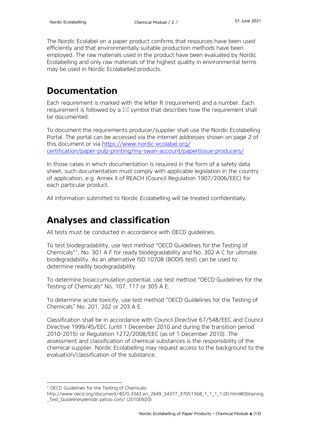The Nordic Ecolabel on a paper product confirms that resources have been used efficiently and that environmentally suitable production methods have been employed. The raw materials used in the product have been evaluated by Nordic Ecolabelling and only raw materials of the highest quality in environmental terms may be used in Nordic Ecolabelled products.

# <span id="page-3-0"></span>**Documentation**

Each requirement is marked with the letter R (requirement) and a number. Each requirement is followed by a  $\boxtimes$  symbol that describes how the requirement shall be documented.

To document the requirements producer/supplier shall use the Nordic Ecolabelling Portal. The portal can be accessed via the internet addresses shown on page 2 of this document or via [https://www.nordic-ecolabel.org/](https://www.nordic-ecolabel.org/certification/paper-pulp-printing/my-swan-account/papertissue-producers/) [certification/paper-pulp-printing/my-swan-account/papertissue-producers/](https://www.nordic-ecolabel.org/certification/paper-pulp-printing/my-swan-account/papertissue-producers/)

In those cases in which documentation is required in the form of a safety data sheet, such documentation must comply with applicable legislation in the country of application, e.g. Annex II of REACH (Council Regulation 1907/2006/EEC) for each particular product.

All information submitted to Nordic Ecolabelling will be treated confidentially.

# <span id="page-3-1"></span>**Analyses and classification**

All tests must be conducted in accordance with OECD guidelines.

To test biodegradability, use test method "OECD Guidelines for the Testing of Chemicals"[1,](#page-3-2) No. 301 A F for ready biodegradability and No. 302 A C for ultimate biodegradability. As an alternative ISO 10708 (BODIS test) can be used to determine readily biodegradability.

To determine bioaccumulation potential, use test method "OECD Guidelines for the Testing of Chemicals" No. 107, 117 or 305 A E.

To determine acute toxicity, use test method "OECD Guidelines for the Testing of Chemicals" No. 201, 202 or 203 A E.

Classification shall be in accordance with Council Directive 67/548/EEC and Council Directive 1999/45/EEC (until 1 December 2010 and during the transition period 2010-2015) or Regulation 1272/2008/EEC (as of 1 December 2010). The assessment and classification of chemical substances is the responsibility of the chemical supplier. Nordic Ecolabelling may request access to the background to the evaluation/classification of the substance.

<sup>1</sup> OECD Guidelines for the Testing of Chemicals:

<span id="page-3-2"></span>http://www.oecd.org/document/40/0,3343,en\_2649\_34377\_37051368\_1\_1\_1\_1,00.html#Obtaining \_Test\_Guidelinesalendar.yahoo.com/ (20100920)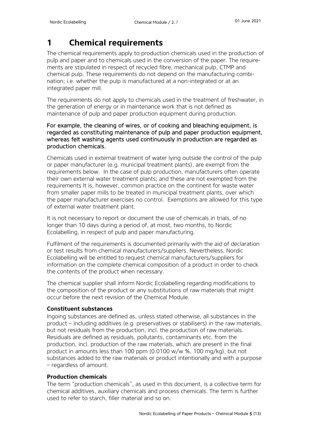# <span id="page-4-0"></span>**1 Chemical requirements**

The chemical requirements apply to production chemicals used in the production of pulp and paper and to chemicals used in the conversion of the paper. The requirements are stipulated in respect of recycled fibre, mechanical pulp, CTMP and chemical pulp. These requirements do not depend on the manufacturing combination; i.e. whether the pulp is manufactured at a non-integrated or at an integrated paper mill.

The requirements do not apply to chemicals used in the treatment of freshwater, in the generation of energy or in maintenance work that is not defined as maintenance of pulp and paper production equipment during production.

### For example, the cleaning of wires, or of cooking and bleaching equipment, is regarded as constituting maintenance of pulp and paper production equipment, whereas felt washing agents used continuously in production are regarded as production chemicals.

Chemicals used in external treatment of water lying outside the control of the pulp or paper manufacturer (e.g. municipal treatment plants), are exempt from the requirements below. In the case of pulp production, manufacturers often operate their own external water treatment plants; and these are not exempted from the requirements It is, however, common practice on the continent for waste water from smaller paper mills to be treated in municipal treatment plants, over which the paper manufacturer exercises no control. Exemptions are allowed for this type of external water treatment plant.

It is not necessary to report or document the use of chemicals in trials, of no longer than 10 days during a period of, at most, two months, to Nordic Ecolabelling, in respect of pulp and paper manufacturing.

Fulfilment of the requirements is documented primarily with the aid of declaration or test results from chemical manufacturers/suppliers. Nevertheless, Nordic Ecolabelling will be entitled to request chemical manufacturers/suppliers for information on the complete chemical composition of a product in order to check the contents of the product when necessary.

The chemical supplier shall inform Nordic Ecolabelling regarding modifications to the composition of the product or any substitutions of raw materials that might occur before the next revision of the Chemical Module.

### **Constituent substances**

Ingoing substances are defined as, unless stated otherwise, all substances in the product – including additives (e.g. preservatives or stabilisers) in the raw materials, but not residuals from the production, incl. the production of raw materials. Residuals are defined as residuals, pollutants, contaminants etc. from the production, incl. production of the raw materials, which are present in the final product in amounts less than 100 ppm (0.0100 w/w %, 100 mg/kg), but not substances added to the raw materials or product intentionally and with a purpose – regardless of amount.

### **Production chemicals**

The term "production chemicals", as used in this document, is a collective term for chemical additives, auxiliary chemicals and process chemicals. The term is further used to refer to starch, filler material and so on.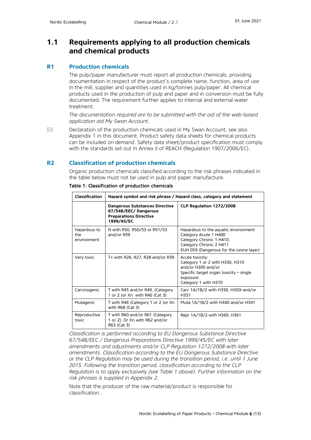### <span id="page-5-0"></span>**1.1 Requirements applying to all production chemicals and chemical products**

#### **R1 Production chemicals**

The pulp/paper manufacturer must report all production chemicals, providing documentation in respect of the product's complete name, function, area of use in the mill, supplier and quantities used in kg/tonnes pulp/paper. All chemical products used in the production of pulp and paper and in conversion must be fully documented. The requirement further applies to internal and external water treatment.

*The documentation required are to be submitted with the aid of the web-based application aid My Swan Account.* 

 $\boxtimes$  Declaration of the production chemicals used in My Swan Account, see also Appendix 1 in this document. Product safety data sheets for chemical products can be included on demand. Safety data sheet/product specification must comply with the standards set out in Annex II of REACH (Regulation 1907/2006/EC).

#### **R2 Classification of production chemicals**

Organic production chemicals classified according to the risk phrases indicated in the table below must not be used in pulp and paper manufacture.

| <b>Classification</b>              | Hazard symbol and risk phrase / Hazard class, category and statement                                         |                                                                                                                                                                  |  |  |
|------------------------------------|--------------------------------------------------------------------------------------------------------------|------------------------------------------------------------------------------------------------------------------------------------------------------------------|--|--|
|                                    | <b>Dangerous Substances Directive</b><br>67/548/EEC/Dangerous<br><b>Preparations Directive</b><br>1999/45/EC | CLP Regulation 1272/2008                                                                                                                                         |  |  |
| Hazardous to<br>the<br>environment | N with R50, R50/53 or R51/53<br>and/or R59                                                                   | Hazardous to the aquatic environment:<br>Category Acute 1 H400<br>Category Chronic 1 H410,<br>Category Chronic 2 H411<br>EUH 059 (Dangerous for the ozone layer) |  |  |
| Very toxic                         | T+ with R26, R27, R28 and/or R39                                                                             | Acute toxicity:<br>Category 1 or 2 with H330, H310<br>and/or H300 and/or<br>Specific target organ toxicity - single<br>exposure:<br>Category 1 with H370         |  |  |
| Carcinogenic                       | T with R45 and/or R49, (Category<br>1 or 2 ) or Xn with R40 (Cat 3)                                          | Carc 1A/1B/2 with H350, H350i and/or<br>H351                                                                                                                     |  |  |
| Mutagenic                          | T with R46 (Category 1 or 2 )or Xn<br>with $R68$ (Cat 3)                                                     | Muta 1A/1B/2 with H340 and/or H341                                                                                                                               |  |  |
| Reproductive<br>toxic              | T with R60 and/or R61 (Category<br>1 or 2). Or Xn with R62 and/or<br>R63 (Cat 3)                             | Repr 1A/1B/2 with H360, H361                                                                                                                                     |  |  |

Table 1: Classification of production chemicals

*Classification is performed according to EU Dangerous Substance Directive 67/548/EEC / Dangerous Preparations Directive 1999/45/EC with later amendments and adjustments and/or CLP Regulation 1272/2008 with later amendments. Classification according to the EU Dangerous Substance Directive or the CLP Regulation may be used during the transition period, i.e. until 1 June 2015. Following the transition period, classification according to the CLP Regulation is to apply exclusively (see Table 1 above). Further information on the risk phrases is supplied in Appendix 2.*

Note that the producer of the raw material/product is responsible for classification.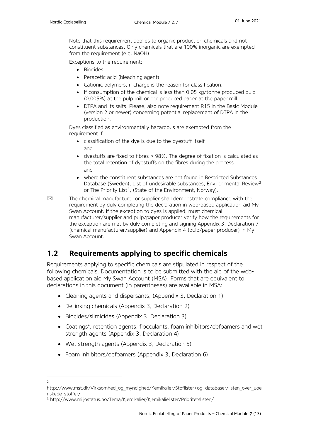Note that this requirement applies to organic production chemicals and not constituent substances. Only chemicals that are 100% inorganic are exempted from the requirement (e.g. NaOH).

Exceptions to the requirement:

- Biocides
- Peracetic acid (bleaching agent)
- Cationic polymers, if charge is the reason for classification.
- If consumption of the chemical is less than 0.05 kg/tonne produced pulp (0.005%) at the pulp mill or per produced paper at the paper mill.
- DTPA and its salts. Please, also note requirement R15 in the Basic Module (version 2 or newer) concerning potential replacement of DTPA in the production.

Dyes classified as environmentally hazardous are exempted from the requirement if

- classification of the dye is due to the dyestuff itself and
- dyestuffs are fixed to fibres > 98%. The degree of fixation is calculated as the total retention of dyestuffs on the fibres during the process and
- where the constituent substances are not found in Restricted Substances Database (Sweden), List of undesirable substances, Environmental Review<sup>[2](#page-6-1)</sup> or The Priority List<sup>[3](#page-6-2)</sup>, (State of the Environment, Norway).

 $\boxtimes$  The chemical manufacturer or supplier shall demonstrate compliance with the requirement by duly completing the declaration in web-based application aid My Swan Account. If the exception to dyes is applied, must chemical manufacturer/supplier and pulp/paper producer verify how the requirements for the exception are met by duly completing and signing Appendix 3, Declaration 7 (chemical manufacturer/supplier) and Appendix 4 (pulp/paper producer) in My Swan Account.

### <span id="page-6-0"></span>**1.2 Requirements applying to specific chemicals**

Requirements applying to specific chemicals are stipulated in respect of the following chemicals. Documentation is to be submitted with the aid of the webbased application aid My Swan Account (MSA). Forms that are equivalent to declarations in this document (in parentheses) are available in MSA:

- Cleaning agents and dispersants, (Appendix 3, Declaration 1)
- De-inking chemicals (Appendix 3, Declaration 2)
- Biocides/slimicides (Appendix 3, Declaration 3)
- Coatings\* , retention agents, flocculants, foam inhibitors/defoamers and wet strength agents (Appendix 3, Declaration 4)
- Wet strength agents (Appendix 3, Declaration 5)
- Foam inhibitors/defoamers (Appendix 3, Declaration 6)

<span id="page-6-1"></span><sup>2</sup>

http://www.mst.dk/Virksomhed\_og\_myndighed/Kemikalier/Stoflister+og+databaser/listen\_over\_uoe nskede\_stoffer/

<span id="page-6-2"></span><sup>3</sup> http://www.miljostatus.no/Tema/Kjemikalier/Kjemikalielister/Prioritetslisten/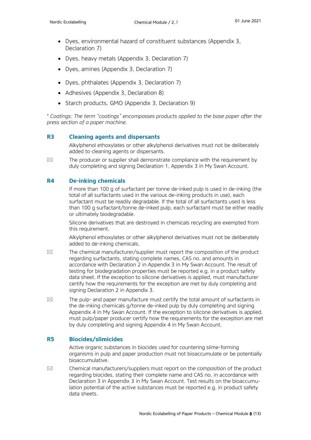- Dyes, environmental hazard of constituent substances (Appendix 3, Declaration 7)
- Dyes, heavy metals (Appendix 3, Declaration 7)
- Dyes, amines (Appendix 3, Declaration 7)
- Dyes, phthalates (Appendix 3, Declaration 7)
- Adhesives (Appendix 3, Declaration 8)
- Starch products, GMO (Appendix 3, Declaration 9)

*\* Coatings: The term "coatings" encompasses products applied to the base paper after the press section of a paper machine.*

#### **R3 Cleaning agents and dispersants**

Alkylphenol ethoxylates or other alkylphenol derivatives must not be deliberately added to cleaning agents or dispersants.

 $\boxtimes$  The producer or supplier shall demonstrate compliance with the requirement by duly completing and signing Declaration 1, Appendix 3 in My Swan Account.

#### **R4 De-inking chemicals**

If more than 100 g of surfactant per tonne de-inked pulp is used in de-inking (the total of all surfactants used in the various de-inking products in use), each surfactant must be readily degradable. If the total of all surfactants used is less than 100 g surfactant/tonne de-inked pulp, each surfactant must be either readily or ultimately biodegradable.

Silicone derivatives that are destroyed in chemicals recycling are exempted from this requirement.

Alkylphenol ethoxylates or other alkylphenol derivatives must not be deliberately added to de-inking chemicals.

- $\boxtimes$  The chemical manufacturer/supplier must report the composition of the product regarding surfactants, stating complete names, CAS no. and amounts in accordance with Declaration 2 in Appendix 3 in My Swan Account. The result of testing for biodegradation properties must be reported e.g. in a product safety data sheet. If the exception to silicone derivatives is applied, must manufacturer certify how the requirements for the exception are met by duly completing and signing Declaration 2 in Appendix 3.
- $\boxtimes$  The pulp- and paper manufacture must certify the total amount of surfactants in the de-inking chemicals g/tonne de-inked pulp by duly completing and signing Appendix 4 in My Swan Account. If the exception to silicone derivatives is applied, must pulp/paper producer certify how the requirements for the exception are met by duly completing and signing Appendix 4 in My Swan Account.

#### **R5 Biocides/slimicides**

Active organic substances in biocides used for countering slime-forming organisms in pulp and paper production must not bioaccumulate or be potentially bioaccumulative.

 $\boxtimes$  Chemical manufacturers/suppliers must report on the composition of the product regarding biocides, stating their complete name and CAS no. in accordance with Declaration 3 in Appendix 3 in My Swan Account. Test results on the bioaccumulation potential of the active substances must be reported e.g. in product safety data sheets.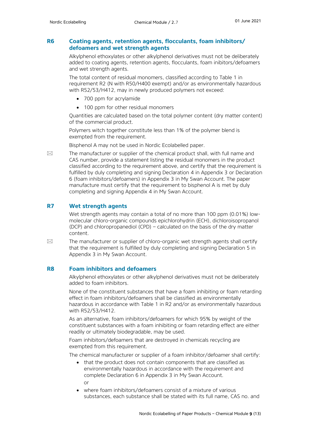#### **R6 Coating agents, retention agents, flocculants, foam inhibitors/ defoamers and wet strength agents**

Alkylphenol ethoxylates or other alkylphenol derivatives must not be deliberately added to coating agents, retention agents, flocculants, foam inibitors/defoamers and wet strength agents.

The total content of residual monomers, classified according to Table 1 in requirement R2 (N with R50/H400 exempt) and/or as environmentally hazardous with R52/53/H412, may in newly produced polymers not exceed:

- 700 ppm for acrylamide
- 100 ppm for other residual monomers

Quantities are calculated based on the total polymer content (dry matter content) of the commercial product.

Polymers witch together constitute less than 1% of the polymer blend is exempted from the requirement.

Bisphenol A may not be used in Nordic Ecolabelled paper.

 $\boxtimes$  The manufacturer or supplier of the chemical product shall, with full name and CAS number, provide a statement listing the residual monomers in the product classified according to the requirement above, and certify that the requirement is fulfilled by duly completing and signing Declaration 4 in Appendix 3 or Declaration 6 (foam inhibitors/defoamers) in Appendix 3 in My Swan Account. The paper manufacture must certify that the requirement to bisphenol A is met by duly completing and signing Appendix 4 in My Swan Account.

#### **R7 Wet strength agents**

Wet strength agents may contain a total of no more than 100 ppm (0.01%) lowmolecular chloro-organic compounds epichlorohydrin (ECH), dichloroisopropanol (DCP) and chloropropanediol (CPD) – calculated on the basis of the dry matter content.

 $\boxtimes$  The manufacturer or supplier of chloro-organic wet strength agents shall certify that the requirement is fulfilled by duly completing and signing Declaration 5 in Appendix 3 in My Swan Account.

#### **R8 Foam inhibitors and defoamers**

Alkylphenol ethoxylates or other alkylphenol derivatives must not be deliberately added to foam inhibitors.

None of the constituent substances that have a foam inhibiting or foam retarding effect in foam inhibitors/defoamers shall be classified as environmentally hazardous in accordance with Table 1 in R2 and/or as environmentally hazardous with R52/53/H412.

As an alternative, foam inhibitors/defoamers for which 95% by weight of the constituent substances with a foam inhibiting or foam retarding effect are either readily or ultimately biodegradable, may be used.

Foam inhibitors/defoamers that are destroyed in chemicals recycling are exempted from this requirement.

The chemical manufacturer or supplier of a foam inhibitor/defoamer shall certify:

- that the product does not contain components that are classified as environmentally hazardous in accordance with the requirement and complete Declaration 6 in Appendix 3 in My Swan Account. or
- where foam inhibitors/defoamers consist of a mixture of various substances, each substance shall be stated with its full name, CAS no. and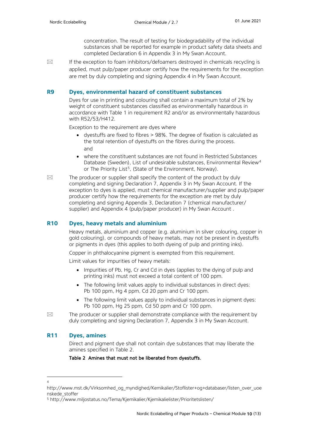concentration. The result of testing for biodegradability of the individual substances shall be reported for example in product safety data sheets and completed Declaration 6 in Appendix 3 in My Swan Account.

 $\boxtimes$  If the exception to foam inhibitors/defoamers destroyed in chemicals recycling is applied, must pulp/paper producer certify how the requirements for the exception are met by duly completing and signing Appendix 4 in My Swan Account.

#### **R9 Dyes, environmental hazard of constituent substances**

Dyes for use in printing and colouring shall contain a maximum total of 2% by weight of constituent substances classified as environmentally hazardous in accordance with Table 1 in requirement R2 and/or as environmentally hazardous with R52/53/H412.

Exception to the requirement are dyes where

- dyestuffs are fixed to fibres > 98%. The degree of fixation is calculated as the total retention of dyestuffs on the fibres during the process. and
- where the constituent substances are not found in Restricted Substances Database (Sweden), List of undesirable substances, Environmental Review<sup>[4](#page-9-0)</sup> or The Priority List<sup>[5](#page-9-1)</sup>, (State of the Environment, Norway).
- $\boxtimes$  The producer or supplier shall specify the content of the product by duly completing and signing Declaration 7, Appendix 3 in My Swan Account. If the exception to dyes is applied, must chemical manufacturer/supplier and pulp/paper producer certify how the requirements for the exception are met by duly completing and signing Appendix 3, Declaration 7 (chemical manufacturer/ supplier) and Appendix 4 (pulp/paper producer) in My Swan Account .

#### **R10 Dyes, heavy metals and aluminium**

Heavy metals, aluminium and copper (e.g. aluminium in silver colouring, copper in gold colouring), or compounds of heavy metals, may not be present in dyestuffs or pigments in dyes (this applies to both dyeing of pulp and printing inks).

Copper in phthalocyanine pigment is exempted from this requirement.

Limit values for impurities of heavy metals:

- Impurities of Pb, Hg. Cr and Cd in dyes (applies to the dying of pulp and printing inks) must not exceed a total content of 100 ppm.
- The following limit values apply to individual substances in direct dyes: Pb 100 ppm, Hg 4 ppm, Cd 20 ppm and Cr 100 ppm.
- The following limit values apply to individual substances in pigment dyes: Pb 100 ppm, Hg 25 ppm, Cd 50 ppm and Cr 100 ppm.
- $\boxtimes$  The producer or supplier shall demonstrate compliance with the requirement by duly completing and signing Declaration 7, Appendix 3 in My Swan Account.

#### **R11 Dyes, amines**

Direct and pigment dye shall not contain dye substances that may liberate the amines specified in Table 2.

Table 2 Amines that must not be liberated from dyestuffs.

<span id="page-9-0"></span><sup>4</sup>

http://www.mst.dk/Virksomhed\_og\_myndighed/Kemikalier/Stoflister+og+databaser/listen\_over\_uoe nskede\_stoffer

<span id="page-9-1"></span><sup>5</sup> http://www.miljostatus.no/Tema/Kjemikalier/Kjemikalielister/Prioritetslisten/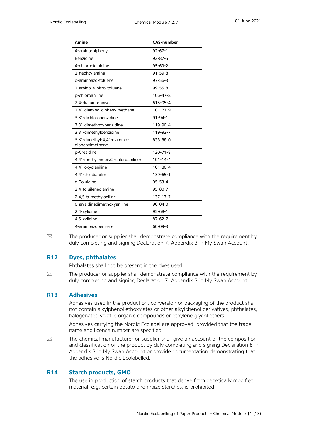| Amine                                          | <b>CAS-number</b> |
|------------------------------------------------|-------------------|
| 4-amino-biphenyl                               | $92 - 67 - 1$     |
| Benzidine                                      | $92 - 87 - 5$     |
| 4-chloro-toluidine                             | $95 - 69 - 2$     |
| 2-naphtylamine                                 | $91 - 59 - 8$     |
| o-aminoazo-toluene                             | $97 - 56 - 3$     |
| 2-amino-4-nitro-toluene                        | $99 - 55 - 8$     |
| p-chloroaniline                                | $106 - 47 - 8$    |
| 2,4-diamino-anisol                             | 615-05-4          |
| 2,4'-diamino-diphenylmethane                   | 101-77-9          |
| 3,3'-dichlorobenzidine                         | $91 - 94 - 1$     |
| 3,3'-dimethoxybenzidine                        | 119-90-4          |
| 3,3'-dimethylbenzidine                         | 119-93-7          |
| 3,3'-dimethyl-4,4'-diamino-<br>diphenylmethane | 838-88-0          |
| p-Cresidine                                    | $120 - 71 - 8$    |
| 4,4'-methylenebis(2-chloroaniline)             | $101 - 14 - 4$    |
| 4,4'-oxydianiline                              | $101 - 80 - 4$    |
| 4,4'-thiodianiline                             | 139-65-1          |
| o-Toluidine                                    | $95 - 53 - 4$     |
| 2,4-toluilenediamine                           | $95 - 80 - 7$     |
| 2,4,5-trimethylaniline                         | $137 - 17 - 7$    |
| 0-anisidinedimethoxyaniline                    | $90 - 04 - 0$     |
| 2,4-xylidine                                   | $95 - 68 - 1$     |
| 4,6-xylidine                                   | $87 - 62 - 7$     |
| 4-aminoazobenzene                              | $60 - 09 - 3$     |

 $\boxtimes$  The producer or supplier shall demonstrate compliance with the requirement by duly completing and signing Declaration 7, Appendix 3 in My Swan Account.

#### **R12 Dyes, phthalates**

Phthalates shall not be present in the dyes used.

 $\boxtimes$  The producer or supplier shall demonstrate compliance with the requirement by duly completing and signing Declaration 7, Appendix 3 in My Swan Account.

#### **R13 Adhesives**

Adhesives used in the production, conversion or packaging of the product shall not contain alkylphenol ethoxylates or other alkylphenol derivatives, phthalates, halogenated volatile organic compounds or ethylene glycol ethers.

Adhesives carrying the Nordic Ecolabel are approved, provided that the trade name and licence number are specified.

 $\boxtimes$  The chemical manufacturer or supplier shall give an account of the composition and classification of the product by duly completing and signing Declaration 8 in Appendix 3 in My Swan Account or provide documentation demonstrating that the adhesive is Nordic Ecolabelled.

#### **R14 Starch products, GMO**

The use in production of starch products that derive from genetically modified material, e.g. certain potato and maize starches, is prohibited.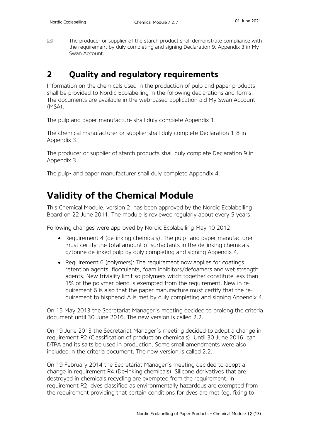$\boxtimes$  The producer or supplier of the starch product shall demonstrate compliance with the requirement by duly completing and signing Declaration 9, Appendix 3 in My Swan Account.

### <span id="page-11-0"></span>**2 Quality and regulatory requirements**

Information on the chemicals used in the production of pulp and paper products shall be provided to Nordic Ecolabelling in the following declarations and forms. The documents are available in the web-based application aid My Swan Account (MSA).

The pulp and paper manufacture shall duly complete Appendix 1.

The chemical manufacturer or supplier shall duly complete Declaration 1-8 in Appendix 3.

The producer or supplier of starch products shall duly complete Declaration 9 in Appendix 3.

The pulp- and paper manufacturer shall duly complete Appendix 4.

# <span id="page-11-1"></span>**Validity of the Chemical Module**

This Chemical Module, version 2, has been approved by the Nordic Ecolabelling Board on 22 June 2011. The module is reviewed regularly about every 5 years.

Following changes were approved by Nordic Ecolabelling May 10 2012:

- Requirement 4 (de-inking chemicals). The pulp- and paper manufacturer must certify the total amount of surfactants in the de-inking chemicals g/tonne de-inked pulp by duly completing and signing Appendix 4.
- Requirement 6 (polymers): The requirement now applies for coatings, retention agents, flocculants, foam inhibitors/defoamers and wet strength agents. New triviality limit so polymers witch together constitute less than 1% of the polymer blend is exempted from the requirement. New in requirement 6 is also that the paper manufacture must certify that the requirement to bisphenol A is met by duly completing and signing Appendix 4.

On 15 May 2013 the Secretariat Manager´s meeting decided to prolong the criteria document until 30 June 2016. The new version is called 2.2.

On 19 June 2013 the Secretariat Manager´s meeting decided to adopt a change in requirement R2 (Classification of production chemicals). Until 30 June 2016, can DTPA and its salts be used in production. Some small amendments were also included in the criteria document. The new version is called 2.2.

On 19 February 2014 the Secretariat Manager´s meeting decided to adopt a change in requirement R4 (De-inking chemicals). Silicone derivatives that are destroyed in chemicals recycling are exempted from the requirement. In requirement R2, dyes classified as environmentally hazardous are exempted from the requirement providing that certain conditions for dyes are met (eg. fixing to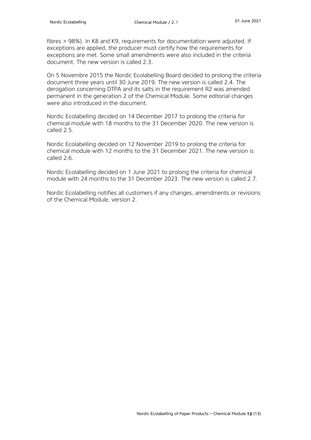fibres > 98%). In K8 and K9, requirements for documentation were adjusted. If exceptions are applied, the producer must certify how the requirements for exceptions are met. Some small amendments were also included in the criteria document. The new version is called 2.3

On 5 Novembre 2015 the Nordic Ecolabelling Board decided to prolong the criteria document three years until 30 June 2019. The new version is called 2.4. The derogation concerning DTPA and its salts in the requirement R2 was amended permanent in the generation 2 of the Chemical Module. Some editorial changes were also introduced in the document.

Nordic Ecolabelling decided on 14 December 2017 to prolong the criteria for chemical module with 18 months to the 31 December 2020. The new version is called 2.5.

Nordic Ecolabelling decided on 12 November 2019 to prolong the criteria for chemical module with 12 months to the 31 December 2021. The new version is called 2.6.

Nordic Ecolabelling decided on 1 June 2021 to prolong the criteria for chemical module with 24 months to the 31 December 2023. The new version is called 2.7.

Nordic Ecolabelling notifies all customers if any changes, amendments or revisions of the Chemical Module, version 2.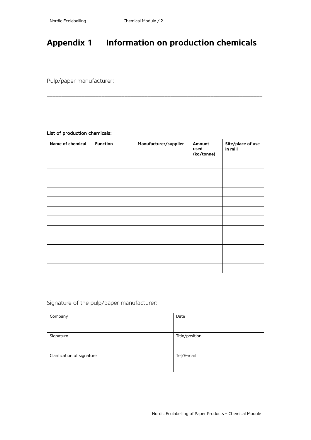# <span id="page-13-0"></span>**Appendix 1 Information on production chemicals**

\_\_\_\_\_\_\_\_\_\_\_\_\_\_\_\_\_\_\_\_\_\_\_\_\_\_\_\_\_\_\_\_\_\_\_\_\_\_\_\_\_\_\_\_\_\_\_\_\_\_\_\_\_\_\_\_\_\_\_\_\_\_\_\_\_\_\_\_\_\_\_\_\_\_\_

Pulp/paper manufacturer:

#### List of production chemicals:

| Name of chemical | <b>Function</b> | Manufacturer/supplier | Amount<br>used<br>(kg/tonne) | Site/place of use<br>in mill |
|------------------|-----------------|-----------------------|------------------------------|------------------------------|
|                  |                 |                       |                              |                              |
|                  |                 |                       |                              |                              |
|                  |                 |                       |                              |                              |
|                  |                 |                       |                              |                              |
|                  |                 |                       |                              |                              |
|                  |                 |                       |                              |                              |
|                  |                 |                       |                              |                              |
|                  |                 |                       |                              |                              |
|                  |                 |                       |                              |                              |
|                  |                 |                       |                              |                              |
|                  |                 |                       |                              |                              |
|                  |                 |                       |                              |                              |

Signature of the pulp/paper manufacturer:

| Company                    | Date           |
|----------------------------|----------------|
| Signature                  | Title/position |
| Clarification of signature | Tel/E-mail     |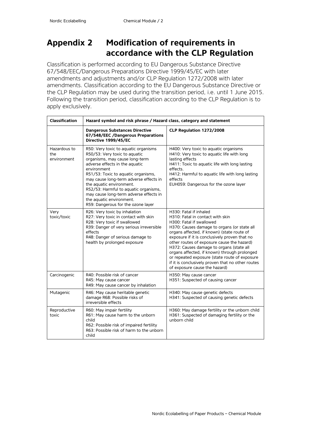## <span id="page-14-0"></span>**Appendix 2 Modification of requirements in accordance with the CLP Regulation**

Classification is performed according to EU Dangerous Substance Directive 67/548/EEC/Dangerous Preparations Directive 1999/45/EC with later amendments and adjustments and/or CLP Regulation 1272/2008 with later amendments. Classification according to the EU Dangerous Substance Directive or the CLP Regulation may be used during the transition period, i.e. until 1 June 2015. Following the transition period, classification according to the CLP Regulation is to apply exclusively.

| <b>Classification</b>              | Hazard symbol and risk phrase / Hazard class, category and statement                                                                                                                                                                                                                                                                                                                                                       |                                                                                                                                                                                                                                                                                                                                                                                                                                                                                                                       |  |  |
|------------------------------------|----------------------------------------------------------------------------------------------------------------------------------------------------------------------------------------------------------------------------------------------------------------------------------------------------------------------------------------------------------------------------------------------------------------------------|-----------------------------------------------------------------------------------------------------------------------------------------------------------------------------------------------------------------------------------------------------------------------------------------------------------------------------------------------------------------------------------------------------------------------------------------------------------------------------------------------------------------------|--|--|
|                                    | <b>Dangerous Substances Directive</b><br>67/548/EEC /Dangerous Preparations<br>Directive 1999/45/EC                                                                                                                                                                                                                                                                                                                        | CLP Regulation 1272/2008                                                                                                                                                                                                                                                                                                                                                                                                                                                                                              |  |  |
| Hazardous to<br>the<br>environment | R50: Very toxic to aquatic organisms<br>R50/53: Very toxic to aquatic<br>organisms, may cause long-term<br>adverse effects in the aquatic<br>environment<br>R51/53: Toxic to aquatic organisms,<br>may cause long-term adverse effects in<br>the aquatic environment.<br>R52/53: Harmful to aquatic organisms,<br>may cause long-term adverse effects in<br>the aquatic environment.<br>R59: Dangerous for the ozone layer | H400: Very toxic to aquatic organisms<br>H410: Very toxic to aquatic life with long<br>lasting effects<br>H411: Toxic to aquatic life with long lasting<br>effects.<br>H412: Harmful to aquatic life with long lasting<br>effects<br>EUH059: Dangerous for the ozone layer                                                                                                                                                                                                                                            |  |  |
| Very<br>toxic/toxic                | R26: Very toxic by inhalation<br>R27: Very toxic in contact with skin<br>R28: Very toxic if swallowed<br>R39: Danger of very serious irreversible<br>effects<br>R48: Danger of serious damage to<br>health by prolonged exposure                                                                                                                                                                                           | H330: Fatal if inhaled<br>H310: Fatal in contact with skin<br>H300: Fatal if swallowed<br>H370: Causes damage to organs (or state all<br>organs affected, if known) (state route of<br>exposure if it is conclusively proven that no<br>other routes of exposure cause the hazard)<br>H372: Causes damage to organs (state all<br>organs affected, if known) through prolonged<br>or repeated exposure (state route of exposure<br>if it is conclusively proven that no other routes<br>of exposure cause the hazard) |  |  |
| Carcinogenic                       | R40: Possible risk of cancer<br>R45: May cause cancer<br>R49: May cause cancer by inhalation                                                                                                                                                                                                                                                                                                                               | H350: May cause cancer<br>H351: Suspected of causing cancer                                                                                                                                                                                                                                                                                                                                                                                                                                                           |  |  |
| Mutagenic                          | R46: May cause heritable genetic<br>damage R68: Possible risks of<br>irreversible effects                                                                                                                                                                                                                                                                                                                                  | H340: May cause genetic defects<br>H341: Suspected of causing genetic defects                                                                                                                                                                                                                                                                                                                                                                                                                                         |  |  |
| Reproductive<br>toxic              | R60: May impair fertility<br>R61: May cause harm to the unborn<br>child<br>R62: Possible risk of impaired fertility<br>R63: Possible risk of harm to the unborn<br>child                                                                                                                                                                                                                                                   | H360: May damage fertility or the unborn child<br>H361: Suspected of damaging fertility or the<br>unborn child                                                                                                                                                                                                                                                                                                                                                                                                        |  |  |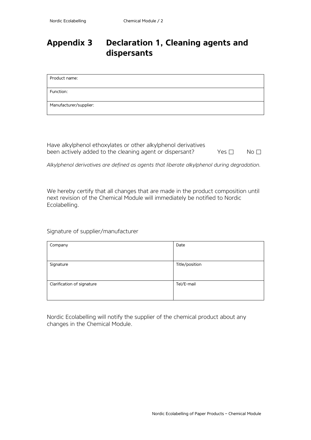## **Appendix 3 Declaration 1, Cleaning agents and dispersants**

| Product name:          |  |
|------------------------|--|
| Function:              |  |
| Manufacturer/supplier: |  |

Have alkylphenol ethoxylates or other alkylphenol derivatives been actively added to the cleaning agent or dispersant? Yes  $\square$  No  $\square$ 

*Alkylphenol derivatives are defined as agents that liberate alkylphenol during degradation.*

We hereby certify that all changes that are made in the product composition until next revision of the Chemical Module will immediately be notified to Nordic Ecolabelling.

Signature of supplier/manufacturer

| Company                    | Date           |
|----------------------------|----------------|
|                            |                |
| Signature                  | Title/position |
|                            |                |
| Clarification of signature | Tel/E-mail     |
|                            |                |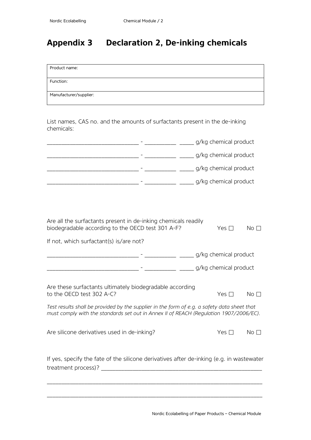# <span id="page-16-0"></span>**Appendix 3 Declaration 2, De-inking chemicals**

| Product name:                                                                                                                                                                                                                                                                  |                                            |               |                 |
|--------------------------------------------------------------------------------------------------------------------------------------------------------------------------------------------------------------------------------------------------------------------------------|--------------------------------------------|---------------|-----------------|
| Function:                                                                                                                                                                                                                                                                      |                                            |               |                 |
| Manufacturer/supplier:                                                                                                                                                                                                                                                         |                                            |               |                 |
| List names, CAS no. and the amounts of surfactants present in the de-inking<br>chemicals:                                                                                                                                                                                      |                                            |               |                 |
|                                                                                                                                                                                                                                                                                |                                            |               |                 |
|                                                                                                                                                                                                                                                                                |                                            |               |                 |
|                                                                                                                                                                                                                                                                                |                                            |               |                 |
|                                                                                                                                                                                                                                                                                |                                            |               |                 |
| Are all the surfactants present in de-inking chemicals readily<br>biodegradable according to the OECD test 301 A-F?<br>If not, which surfactant(s) is/are not?                                                                                                                 |                                            | Yes $\Box$    | No <sub>1</sub> |
|                                                                                                                                                                                                                                                                                | _____________ ______ g/kg chemical product |               |                 |
| Are these surfactants ultimately biodegradable according<br>to the OECD test 302 A-C?<br>Test results shall be provided by the supplier in the form of e.g. a safety data sheet that<br>must comply with the standards set out in Annex II of REACH (Regulation 1907/2006/EC). |                                            | Yes $\Box$    | No I            |
| Are silicone derivatives used in de-inking?                                                                                                                                                                                                                                    |                                            | Yes $\square$ | No <sub>1</sub> |
| If yes, specify the fate of the silicone derivatives after de-inking (e.g. in wastewater<br>treatment process)?                                                                                                                                                                |                                            |               |                 |

\_\_\_\_\_\_\_\_\_\_\_\_\_\_\_\_\_\_\_\_\_\_\_\_\_\_\_\_\_\_\_\_\_\_\_\_\_\_\_\_\_\_\_\_\_\_\_\_\_\_\_\_\_\_\_\_\_\_\_\_\_\_\_\_\_\_\_\_\_\_\_\_\_\_\_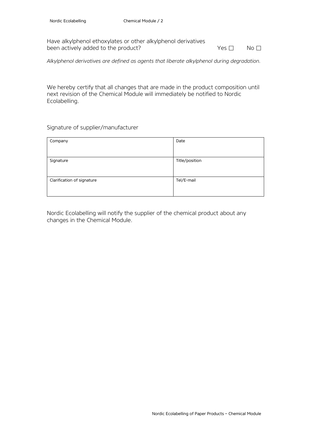Have alkylphenol ethoxylates or other alkylphenol derivatives been actively added to the product? <br>
Yes □ No □

*Alkylphenol derivatives are defined as agents that liberate alkylphenol during degradation.*

We hereby certify that all changes that are made in the product composition until next revision of the Chemical Module will immediately be notified to Nordic Ecolabelling.

Signature of supplier/manufacturer

| Company                    | Date           |
|----------------------------|----------------|
|                            |                |
| Signature                  | Title/position |
|                            |                |
| Clarification of signature | Tel/E-mail     |
|                            |                |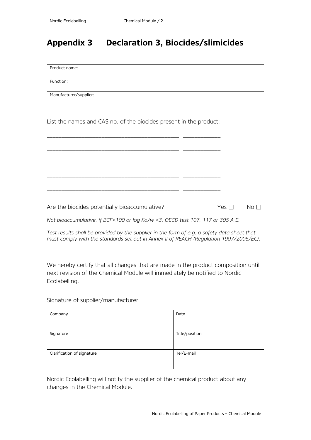## **Appendix 3 Declaration 3, Biocides/slimicides**

Product name:

Function:

Manufacturer/supplier:

List the names and CAS no. of the biocides present in the product:

\_\_\_\_\_\_\_\_\_\_\_\_\_\_\_\_\_\_\_\_\_\_\_\_\_\_\_\_\_\_\_\_\_\_\_\_\_\_\_\_\_\_\_\_\_\_ \_\_\_\_\_\_\_\_\_\_\_\_\_ \_\_\_\_\_\_\_\_\_\_\_\_\_\_\_\_\_\_\_\_\_\_\_\_\_\_\_\_\_\_\_\_\_\_\_\_\_\_\_\_\_\_\_\_\_\_ \_\_\_\_\_\_\_\_\_\_\_\_\_ \_\_\_\_\_\_\_\_\_\_\_\_\_\_\_\_\_\_\_\_\_\_\_\_\_\_\_\_\_\_\_\_\_\_\_\_\_\_\_\_\_\_\_\_\_\_ \_\_\_\_\_\_\_\_\_\_\_\_\_ \_\_\_\_\_\_\_\_\_\_\_\_\_\_\_\_\_\_\_\_\_\_\_\_\_\_\_\_\_\_\_\_\_\_\_\_\_\_\_\_\_\_\_\_\_\_ \_\_\_\_\_\_\_\_\_\_\_\_\_ \_\_\_\_\_\_\_\_\_\_\_\_\_\_\_\_\_\_\_\_\_\_\_\_\_\_\_\_\_\_\_\_\_\_\_\_\_\_\_\_\_\_\_\_\_\_ \_\_\_\_\_\_\_\_\_\_\_\_\_

Are the biocides potentially bioaccumulative? <br>
Yes □ No □

*Not bioaccumulative, if BCF<100 or log Ko/w <3, OECD test 107, 117 or 305 A E.*

*Test results shall be provided by the supplier in the form of e.g. a safety data sheet that must comply with the standards set out in Annex II of REACH (Regulation 1907/2006/EC).*

We hereby certify that all changes that are made in the product composition until next revision of the Chemical Module will immediately be notified to Nordic Ecolabelling.

Signature of supplier/manufacturer

| Company                    | Date           |
|----------------------------|----------------|
| Signature                  | Title/position |
| Clarification of signature | Tel/E-mail     |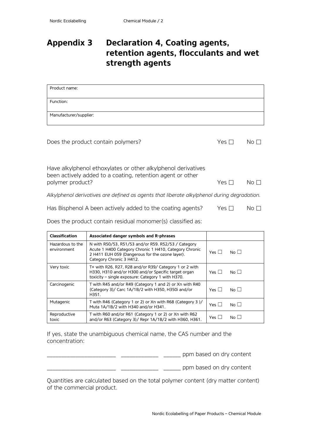## **Appendix 3 Declaration 4, Coating agents, retention agents, flocculants and wet strength agents**

| Product name:                      |     |    |
|------------------------------------|-----|----|
| Function:                          |     |    |
| Manufacturer/supplier:             |     |    |
|                                    |     |    |
| Does the product contain polymers? | Yes | No |

| Have alkylphenol ethoxylates or other alkylphenol derivatives |  |
|---------------------------------------------------------------|--|
| been actively added to a coating, retention agent or other    |  |

| polymer product? | $Yes \Box$ No $\Box$ |  |
|------------------|----------------------|--|
|                  |                      |  |

*Alkylphenol derivatives are defined as agents that liberate alkylphenol during degradation.*

| Has Bisphenol A been actively added to the coating agents? |  |  | Yes $\Box$ | No $\Box$ |
|------------------------------------------------------------|--|--|------------|-----------|
|------------------------------------------------------------|--|--|------------|-----------|

Does the product contain residual monomer(s) classified as:

| <b>Classification</b>           | Associated danger symbols and R-phrases                                                                                                                                                      |                 |                 |
|---------------------------------|----------------------------------------------------------------------------------------------------------------------------------------------------------------------------------------------|-----------------|-----------------|
| Hazardous to the<br>environment | N with R50/53, R51/53 and/or R59, R52/53 / Category<br>Acute 1 H400 Category Chronic 1 H410, Category Chronic<br>2 H411 EUH 059 (Dangerous for the ozone layer).<br>Category Chronic 3 H412. | Yes L           | No <sub>1</sub> |
| Very toxic                      | T+ with R26, R27, R28 and/or R39/ Category 1 or 2 with<br>H330, H310 and/or H300 and/or Specific target organ<br>toxicity - single exposure: Category 1 with H370.                           | $Yes \mid \mid$ | No <sub>1</sub> |
| Carcinogenic                    | T with R45 and/or R49 (Category 1 and 2) or Xn with R40<br>(Category 3)/ Carc 1A/1B/2 with H350, H350i and/or<br>H351.                                                                       | Yes $\Box$      | No <sup>1</sup> |
| Mutagenic                       | T with R46 (Category 1 or 2) or Xn with R68 (Category 3)/<br>Muta 1A/1B/2 with H340 and/or H341.                                                                                             | Yes $\Box$      | N <sub>0</sub>  |
| Reproductive<br>toxic           | T with R60 and/or R61 (Category 1 or 2) or Xn with R62<br>and/or R63 (Category 3)/ Repr 1A/1B/2 with H360, H361.                                                                             |                 | No $\Box$       |

If yes, state the unambiguous chemical name, the CAS number and the concentration:

\_\_\_\_\_\_\_\_\_\_\_\_\_\_\_\_\_\_\_\_\_\_\_\_ \_\_\_\_\_\_\_\_\_\_\_\_\_ \_\_\_\_\_\_ ppm based on dry content

\_\_\_\_\_\_\_\_\_\_\_\_\_\_\_\_\_\_\_\_\_\_\_\_ \_\_\_\_\_\_\_\_\_\_\_\_\_ \_\_\_\_\_\_ ppm based on dry content

Quantities are calculated based on the total polymer content (dry matter content) of the commercial product.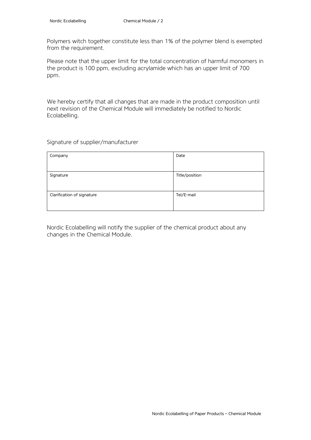Polymers witch together constitute less than 1% of the polymer blend is exempted from the requirement.

Please note that the upper limit for the total concentration of harmful monomers in the product is 100 ppm, excluding acrylamide which has an upper limit of 700 ppm.

We hereby certify that all changes that are made in the product composition until next revision of the Chemical Module will immediately be notified to Nordic Ecolabelling.

Signature of supplier/manufacturer

| Company                    | Date           |
|----------------------------|----------------|
|                            |                |
| Signature                  | Title/position |
|                            |                |
| Clarification of signature | Tel/E-mail     |
|                            |                |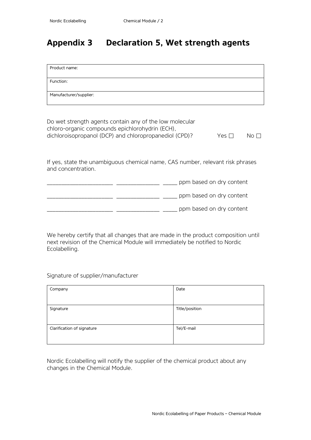## **Appendix 3 Declaration 5, Wet strength agents**

| Product name:          |  |
|------------------------|--|
| Function:              |  |
| Manufacturer/supplier: |  |

Do wet strength agents contain any of the low molecular chloro-organic compounds epichlorohydrin (ECH), dichloroisopropanol (DCP) and chloropropanediol (CPD)?  $Yes \Box$  No  $\Box$ 

If yes, state the unambiguous chemical name, CAS number, relevant risk phrases and concentration.

|  | ppm based on dry content |
|--|--------------------------|
|  | ppm based on dry content |
|  | ppm based on dry content |

We hereby certify that all changes that are made in the product composition until next revision of the Chemical Module will immediately be notified to Nordic Ecolabelling.

Signature of supplier/manufacturer

| Company                    | Date           |
|----------------------------|----------------|
|                            |                |
| Signature                  | Title/position |
| Clarification of signature | Tel/E-mail     |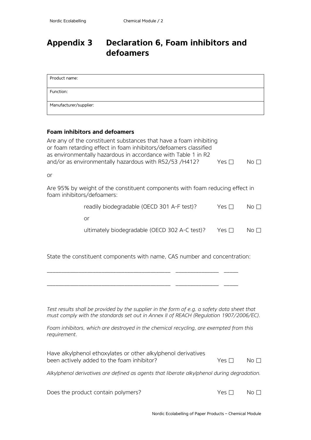# **Appendix 3 Declaration 6, Foam inhibitors and defoamers**

| Product name:          |  |
|------------------------|--|
| Function:              |  |
| Manufacturer/supplier: |  |

### **Foam inhibitors and defoamers**

|    | Are any of the constituent substances that have a foam inhibiting<br>or foam retarding effect in foam inhibitors/defoamers classified<br>as environmentally hazardous in accordance with Table 1 in R2 |              |                                                  |
|----|--------------------------------------------------------------------------------------------------------------------------------------------------------------------------------------------------------|--------------|--------------------------------------------------|
|    | and/or as environmentally hazardous with R52/53 /H412?                                                                                                                                                 | Yes $\Gamma$ | $\overline{\mathsf{No}}$ $\overline{\mathsf{C}}$ |
| or |                                                                                                                                                                                                        |              |                                                  |
|    | Are 95% by weight of the constituent components with foam reducing effect in<br>foam inhibitors/defoamers:                                                                                             |              |                                                  |
|    | readily biodegradable (OECD 301 A-F test)?                                                                                                                                                             | Yes $\Gamma$ | $\overline{N}$ o $\overline{\Box}$               |
|    | or                                                                                                                                                                                                     |              |                                                  |
|    | ultimately biodegradable (OECD 302 A-C test)?                                                                                                                                                          | Yes          | NΟ                                               |

State the constituent components with name, CAS number and concentration:

\_\_\_\_\_\_\_\_\_\_\_\_\_\_\_\_\_\_\_\_\_\_\_\_\_\_\_\_\_\_\_\_\_\_\_\_\_\_\_\_\_\_\_ \_\_\_\_\_\_\_\_\_\_\_\_\_\_\_ \_\_\_\_\_

\_\_\_\_\_\_\_\_\_\_\_\_\_\_\_\_\_\_\_\_\_\_\_\_\_\_\_\_\_\_\_\_\_\_\_\_\_\_\_\_\_\_\_ \_\_\_\_\_\_\_\_\_\_\_\_\_\_\_ \_\_\_\_\_

*Test results shall be provided by the supplier in the form of e.g. a safety data sheet that must comply with the standards set out in Annex II of REACH (Regulation 1907/2006/EC).*

| Foam inhibitors, which are destroyed in the chemical recycling, are exempted from this |  |  |  |  |
|----------------------------------------------------------------------------------------|--|--|--|--|
| requirement.                                                                           |  |  |  |  |

| Have alkylphenol ethoxylates or other alkylphenol derivatives |       |                     |
|---------------------------------------------------------------|-------|---------------------|
| been actively added to the foam inhibitor?                    | Yes □ | $\mathsf{No}\ \Box$ |
|                                                               |       |                     |

*Alkylphenol derivatives are defined as agents that liberate alkylphenol during degradation.* 

| Does the product contain polymers? | Yes $\Box$ | $\mathsf{No} \ \Box$ |
|------------------------------------|------------|----------------------|
|------------------------------------|------------|----------------------|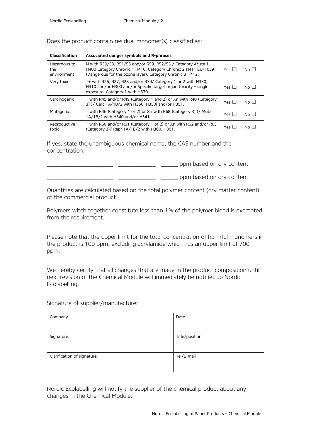| <b>Classification</b>              | Associated danger symbols and R-phrases                                                                                                                                                   |                 |                |
|------------------------------------|-------------------------------------------------------------------------------------------------------------------------------------------------------------------------------------------|-----------------|----------------|
| Hazardous to<br>the<br>environment | N with R50/53, R51/53 and/or R59, R52/53 / Category Acute 1<br>H400 Category Chronic 1 H410, Category Chronic 2 H411 EUH 059<br>(Dangerous for the ozone layer). Category Chronic 3 H412. | $Yes \mid \mid$ | $N_O$          |
| Very toxic                         | T+ with R26, R27, R28 and/or R39/ Category 1 or 2 with H330,<br>H310 and/or H300 and/or Specific target organ toxicity - single<br>exposure: Category 1 with H370.                        | $Yes \mid \mid$ | $N_O$          |
| Carcinogenic                       | T with R45 and/or R49 (Category 1 and 2) or Xn with R40 (Category<br>3) )/ Carc 1A/1B/2 with H350, H350i and/or H351.                                                                     | $Yes \mid \mid$ | $N0$           |
| Mutagenic                          | T with R46 (Category 1 or 2) or Xn with R68 (Category 3) )/ Muta<br>1A/1B/2 with H340 and/or H341.                                                                                        | $Yes \mid \mid$ | N <sub>0</sub> |
| Reproductive<br>toxic              | T with R60 and/or R61 (Category 1 or 2) or Xn with R62 and/or R63<br>(Category 3)/ Repr 1A/1B/2 with H360, H361.                                                                          | Yes L           | No L           |

Does the product contain residual monomer(s) classified as:

If yes, state the unambiguous chemical name, the CAS number and the concentration:

\_\_\_\_\_\_\_\_\_\_\_\_\_\_\_\_\_\_\_\_\_\_\_ \_\_\_\_\_\_\_\_\_\_\_\_\_ \_\_\_\_\_\_ ppm based on dry content

\_\_\_\_\_\_\_\_\_\_\_\_\_\_\_\_\_\_\_\_\_\_\_ \_\_\_\_\_\_\_\_\_\_\_\_\_ \_\_\_\_\_\_ ppm based on dry content

Quantities are calculated based on the total polymer content (dry matter content) of the commercial product.

Polymers witch together constitute less than 1% of the polymer blend is exempted from the requirement.

Please note that the upper limit for the total concentration of harmful monomers in the product is 100 ppm, excluding acrylamide which has an upper limit of 700 ppm.

We hereby certify that all changes that are made in the product composition until next revision of the Chemical Module will immediately be notified to Nordic Ecolabelling.

Signature of supplier/manufacturer

| Company                    | Date           |
|----------------------------|----------------|
|                            |                |
| Signature                  | Title/position |
|                            |                |
|                            |                |
| Clarification of signature | Tel/E-mail     |
|                            |                |
|                            |                |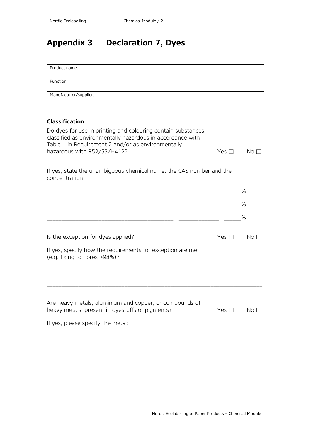# **Appendix 3 Declaration 7, Dyes**

| Product name:                                                                                                                                                                                                   |               |                 |
|-----------------------------------------------------------------------------------------------------------------------------------------------------------------------------------------------------------------|---------------|-----------------|
| Function:                                                                                                                                                                                                       |               |                 |
| Manufacturer/supplier:                                                                                                                                                                                          |               |                 |
|                                                                                                                                                                                                                 |               |                 |
| <b>Classification</b>                                                                                                                                                                                           |               |                 |
| Do dyes for use in printing and colouring contain substances<br>classified as environmentally hazardous in accordance with<br>Table 1 in Requirement 2 and/or as environmentally<br>hazardous with R52/53/H412? | Yes $\square$ | No <sub>1</sub> |
| If yes, state the unambiguous chemical name, the CAS number and the<br>concentration:                                                                                                                           |               |                 |
|                                                                                                                                                                                                                 |               | %               |
|                                                                                                                                                                                                                 |               | %               |
|                                                                                                                                                                                                                 |               | ℅               |
|                                                                                                                                                                                                                 |               |                 |
| Is the exception for dyes applied?                                                                                                                                                                              | Yes $\Box$    | No <sub>1</sub> |
| If yes, specify how the requirements for exception are met<br>(e.g. fixing to fibres >98%)?                                                                                                                     |               |                 |
|                                                                                                                                                                                                                 |               |                 |
| Are heavy metals, aluminium and copper, or compounds of<br>heavy metals, present in dyestuffs or pigments?                                                                                                      | Yes $\square$ | $No$ $\square$  |
| If yes, please specify the metal:                                                                                                                                                                               |               |                 |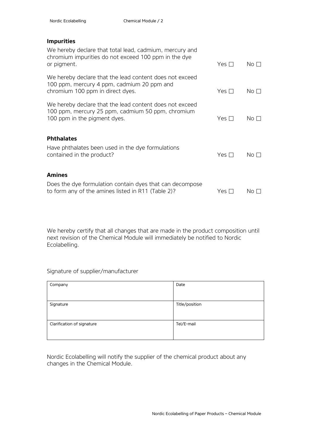#### **Impurities**

| We hereby declare that total lead, cadmium, mercury and<br>chromium impurities do not exceed 100 ppm in the dye<br>or pigment.               | Yes $\Box$ | No $\Box$       |
|----------------------------------------------------------------------------------------------------------------------------------------------|------------|-----------------|
| We hereby declare that the lead content does not exceed<br>100 ppm, mercury 4 ppm, cadmium 20 ppm and<br>chromium 100 ppm in direct dyes.    | Yes $\Box$ | No $\square$    |
| We hereby declare that the lead content does not exceed<br>100 ppm, mercury 25 ppm, cadmium 50 ppm, chromium<br>100 ppm in the pigment dyes. | Yes $\Box$ | No $\Box$       |
| <b>Phthalates</b><br>Have phthalates been used in the dye formulations<br>contained in the product?                                          | Yes $\Box$ | No <sub>1</sub> |
| <b>Amines</b><br>Does the dye formulation contain dyes that can decompose<br>to form any of the amines listed in R11 (Table 2)?              | Yes $\Box$ | No $\Box$       |

We hereby certify that all changes that are made in the product composition until next revision of the Chemical Module will immediately be notified to Nordic Ecolabelling.

#### Signature of supplier/manufacturer

| Company                    | Date           |
|----------------------------|----------------|
|                            |                |
| Signature                  | Title/position |
|                            |                |
| Clarification of signature | Tel/E-mail     |
|                            |                |
|                            |                |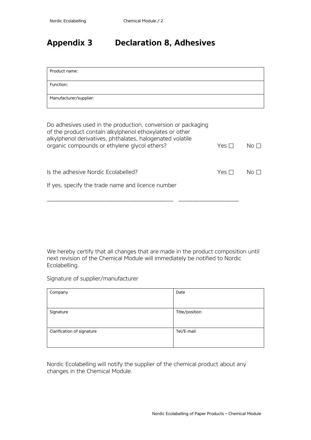# **Appendix 3 Declaration 8, Adhesives**

| Product name:          |  |
|------------------------|--|
|                        |  |
| Function:              |  |
|                        |  |
|                        |  |
| Manufacturer/supplier: |  |
|                        |  |
|                        |  |

| Do adhesives used in the production, conversion or packaging<br>of the product contain alkylphenol ethoxylates or other<br>alkylphenol derivatives, phthalates, halogenated volatile<br>organic compounds or ethylene glycol ethers? | Yes $\Box$   | $\overline{\mathsf{No}}$ $\overline{\mathsf{b}}$ |
|--------------------------------------------------------------------------------------------------------------------------------------------------------------------------------------------------------------------------------------|--------------|--------------------------------------------------|
|                                                                                                                                                                                                                                      |              |                                                  |
| Is the adhesive Nordic Ecolabelled?                                                                                                                                                                                                  | Yes $\Gamma$ | $N \cap \square$                                 |
| If yes, specify the trade name and licence number                                                                                                                                                                                    |              |                                                  |

We hereby certify that all changes that are made in the product composition until next revision of the Chemical Module will immediately be notified to Nordic Ecolabelling.

Signature of supplier/manufacturer

| Company                    | Date           |
|----------------------------|----------------|
| Signature                  | Title/position |
| Clarification of signature | Tel/E-mail     |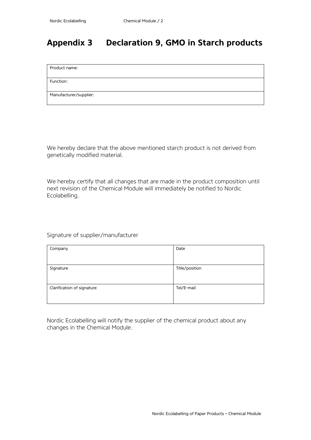# **Appendix 3 Declaration 9, GMO in Starch products**

Product name:

Function:

Manufacturer/supplier:

We hereby declare that the above mentioned starch product is not derived from genetically modified material.

We hereby certify that all changes that are made in the product composition until next revision of the Chemical Module will immediately be notified to Nordic Ecolabelling.

Signature of supplier/manufacturer

| Company                    | Date           |
|----------------------------|----------------|
|                            |                |
| Signature                  | Title/position |
|                            |                |
|                            |                |
| Clarification of signature | Tel/E-mail     |
|                            |                |
|                            |                |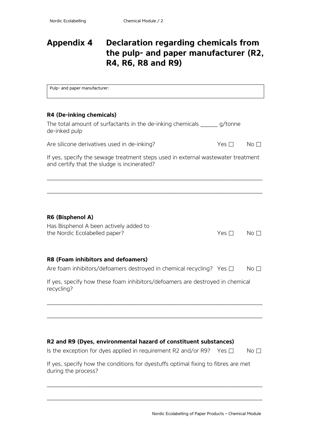# <span id="page-28-0"></span>**Appendix 4 Declaration regarding chemicals from the pulp- and paper manufacturer (R2, R4, R6, R8 and R9)**

| Pulp- and paper manufacturer:                                                                                                   |            |                 |
|---------------------------------------------------------------------------------------------------------------------------------|------------|-----------------|
|                                                                                                                                 |            |                 |
| R4 (De-inking chemicals)                                                                                                        |            |                 |
| The total amount of surfactants in the de-inking chemicals _______ g/tonne<br>de-inked pulp                                     |            |                 |
| Are silicone derivatives used in de-inking?                                                                                     | Yes $\Box$ | No <sub>1</sub> |
| If yes, specify the sewage treatment steps used in external wastewater treatment<br>and certify that the sludge is incinerated? |            |                 |
|                                                                                                                                 |            |                 |
| R6 (Bisphenol A)                                                                                                                |            |                 |
| Has Bisphenol A been actively added to                                                                                          |            |                 |
| the Nordic Ecolabelled paper?                                                                                                   | Yes $\Box$ | No I            |
| R8 (Foam inhibitors and defoamers)                                                                                              |            |                 |
| Are foam inhibitors/defoamers destroyed in chemical recycling? Yes $\Box$                                                       |            | No <sub>1</sub> |
| If yes, specify how these foam inhibitors/defoamers are destroyed in chemical<br>recycling?                                     |            |                 |
|                                                                                                                                 |            |                 |
|                                                                                                                                 |            |                 |
| R2 and R9 (Dyes, environmental hazard of constituent substances)                                                                |            |                 |
| Is the exception for dyes applied in requirement R2 and/or R9?                                                                  | Yes $\Box$ | No <sub>1</sub> |
| If yes, specify how the conditions for dyestuffs optimal fixing to fibres are met<br>during the process?                        |            |                 |
|                                                                                                                                 |            |                 |

\_\_\_\_\_\_\_\_\_\_\_\_\_\_\_\_\_\_\_\_\_\_\_\_\_\_\_\_\_\_\_\_\_\_\_\_\_\_\_\_\_\_\_\_\_\_\_\_\_\_\_\_\_\_\_\_\_\_\_\_\_\_\_\_\_\_\_\_\_\_\_\_\_\_\_